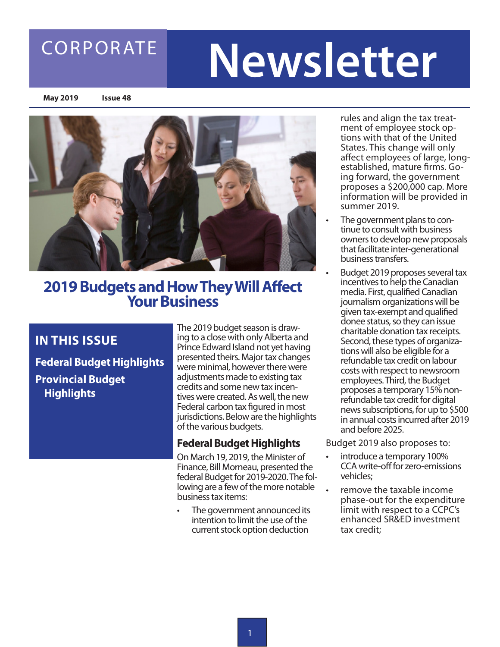### CORPORATE

# **Newsletter**

**May 2019 Issue 48**



## **2019 Budgets and How They Will Affect Your Business**

### **IN THIS ISSUE**

**Federal Budget Highlights Provincial Budget Highlights** 

The 2019 budget season is drawing to a close with only Alberta and Prince Edward Island not yet having presented theirs. Major tax changes were minimal, however there were adjustments made to existing tax credits and some new tax incentives were created. As well, the new Federal carbon tax figured in most jurisdictions. Below are the highlights of the various budgets.

### **Federal Budget Highlights**

On March 19, 2019, the Minister of Finance, Bill Morneau, presented the federal Budget for 2019-2020. The following are a few of the more notable business tax items:

The government announced its intention to limit the use of the current stock option deduction

rules and align the tax treatment of employee stock options with that of the United States. This change will only affect employees of large, longestablished, mature firms. Going forward, the government proposes a \$200,000 cap. More information will be provided in summer 2019.

- The government plans to continue to consult with business owners to develop new proposals that facilitate inter-generational business transfers.
- Budget 2019 proposes several tax incentives to help the Canadian media. First, qualified Canadian journalism organizations will be given tax-exempt and qualified donee status, so they can issue charitable donation tax receipts. Second, these types of organizations will also be eligible for a refundable tax credit on labour costs with respect to newsroom employees. Third, the Budget proposes a temporary 15% nonrefundable tax credit for digital news subscriptions, for up to \$500 in annual costs incurred after 2019 and before 2025.

Budget 2019 also proposes to:

- introduce a temporary 100% CCA write-off for zero-emissions vehicles;
- remove the taxable income phase-out for the expenditure limit with respect to a CCPC's enhanced SR&ED investment tax credit;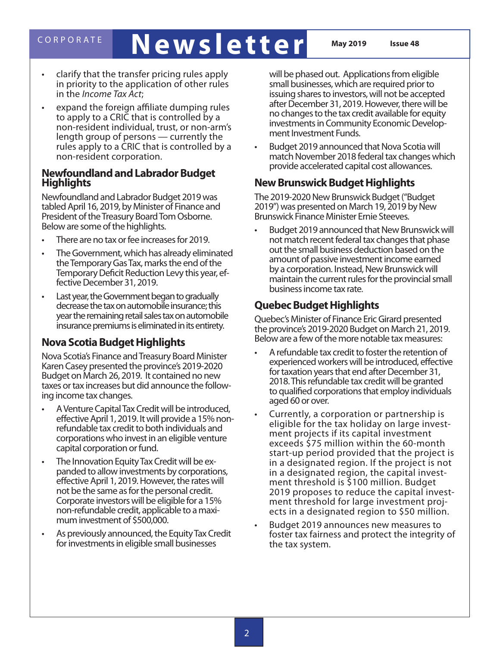### CORPORATE **Newsletter May 2019 Issue 48**

- clarify that the transfer pricing rules apply in priority to the application of other rules in the *Income Tax Act*;
- expand the foreign affiliate dumping rules to apply to a CRIC that is controlled by a non-resident individual, trust, or non-arm's length group of persons — currently the rules apply to a CRIC that is controlled by a non-resident corporation.

#### **Newfoundland and Labrador Budget Highlights**

Newfoundland and Labrador Budget 2019 was tabled April 16, 2019, by Minister of Finance and President of the Treasury Board Tom Osborne. Below are some of the highlights.

- There are no tax or fee increases for 2019.
- The Government, which has already eliminated the Temporary Gas Tax, marks the end of the Temporary Deficit Reduction Levy this year, ef- fective December 31, 2019.
- Last year, the Government began to gradually decrease the tax on automobile insurance; this year the remaining retail sales tax on automobile insurance premiums is eliminated in its entirety.

### **Nova Scotia Budget Highlights**

Nova Scotia's Finance and Treasury Board Minister Karen Casey presented the province's 2019-2020 Budget on March 26, 2019. It contained no new taxes or tax increases but did announce the following income tax changes.

- • A Venture Capital Tax Credit will be introduced, effective April 1, 2019. It will provide a 15% nonrefundable tax credit to both individuals and corporations who invest in an eligible venture capital corporation or fund.
- • The Innovation Equity Tax Credit will be ex- panded to allow investments by corporations, effective April 1, 2019. However, the rates will not be the same as for the personal credit. Corporate investors will be eligible for a 15% non-refundable credit, applicable to a maxi- mum investment of \$500,000.
- As previously announced, the Equity Tax Credit for investments in eligible small businesses

will be phased out. Applications from eligible small businesses, which are required prior to issuing shares to investors, will not be accepted after December 31, 2019. However, there will be no changes to the tax credit available for equity investments in Community Economic Develop- ment Investment Funds.

Budget 2019 announced that Nova Scotia will match November 2018 federal tax changes which provide accelerated capital cost allowances.

### **New Brunswick Budget Highlights**

The 2019-2020 New Brunswick Budget ("Budget 2019") was presented on March 19, 2019 by New Brunswick Finance Minister Ernie Steeves.

Budget 2019 announced that New Brunswick will not match recent federal tax changes that phase out the small business deduction based on the amount of passive investment income earned by a corporation. Instead, New Brunswick will maintain the current rules for the provincial small business income tax rate.

### **Quebec Budget Highlights**

Quebec's Minister of Finance Eric Girard presented the province's 2019-2020 Budget on March 21, 2019. Below are a few of the more notable tax measures:

- A refundable tax credit to foster the retention of experienced workers will be introduced, effective for taxation years that end after December 31, 2018. This refundable tax credit will be granted to qualified corporations that employ individuals aged 60 or over.
- Currently, a corporation or partnership is eligible for the tax holiday on large invest- ment projects if its capital investment exceeds \$75 million within the 60-month start-up period provided that the project is in a designated region. If the project is not in a designated region, the capital invest- ment threshold is \$100 million. Budget 2019 proposes to reduce the capital invest- ment threshold for large investment proj- ects in a designated region to \$50 million.
- Budget 2019 announces new measures to foster tax fairness and protect the integrity of the tax system.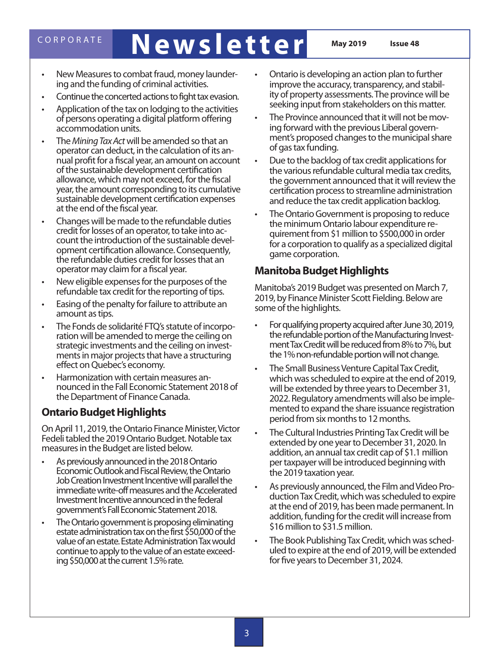## CORPORATE **Newsletter May 2019 Issue 48**

- • New Measures to combat fraud, money launder- ing and the funding of criminal activities.
- Continue the concerted actions to fight tax evasion.
- Application of the tax on lodging to the activities of persons operating a digital platform offering accommodation units.
- The *Mining Tax Act* will be amended so that an<br>operator can deduct, in the calculation of its annual profit for a fiscal year, an amount on account of the sustainable development certification allowance, which may not exceed, for the fiscal year, the amount corresponding to its cumulative sustainable development certification expenses at the end of the fiscal year.
- Changes will be made to the refundable duties<br>credit for losses of an operator, to take into account the introduction of the sustainable devel-<br>opment certification allowance. Consequently, the refundable duties credit for losses that an operator may claim for a fiscal year.
- New eligible expenses for the purposes of the refundable tax credit for the reporting of tips.
- Easing of the penalty for failure to attribute an amount as tips.
- The Fonds de solidarité FTQ's statute of incorpo-<br>ration will be amended to merge the ceiling on strategic investments and the ceiling on invest- ments in major projects that have a structuring effect on Quebec's economy.
- Harmonization with certain measures an-<br>nounced in the Fall Economic Statement 2018 of the Department of Finance Canada.

### **Ontario Budget Highlights**

On April 11, 2019, the Ontario Finance Minister, Victor Fedeli tabled the 2019 Ontario Budget. Notable tax measures in the Budget are listed below.

- • As previously announced in the 2018 Ontario Economic Outlook and Fiscal Review, the Ontario Job Creation Investment Incentive will parallel the immediate write-off measures and the Accelerated Investment Incentive announced in the federal government's Fall Economic Statement 2018.
- The Ontario government is proposing eliminating estate administration tax on the first \$50,000 of the value of an estate. Estate Administration Tax would continue to apply to the value of an estate exceed- ing \$50,000 at the current 1.5% rate.
- Ontario is developing an action plan to further improve the accuracy, transparency, and stability of property assessments. The province will be seeking input from stakeholders on this matter.
- The Province announced that it will not be moving forward with the previous Liberal government's proposed changes to the municipal share of gas tax funding.
- • Due to the backlog of tax credit applications for the various refundable cultural media tax credits, the government announced that it will review the certification process to streamline administration and reduce the tax credit application backlog.
- The Ontario Government is proposing to reduce the minimum Ontario labour expenditure requirement from \$1 million to \$500,000 in order for a corporation to qualify as a specialized digital game corporation.

### **Manitoba Budget Highlights**

Manitoba's 2019 Budget was presented on March 7, 2019, by Finance Minister Scott Fielding. Below are some of the highlights.

- For qualifying property acquired after June 30, 2019, the refundable portion of the Manufacturing Investment Tax Credit will be reduced from 8% to 7%, but the 1% non-refundable portion will not change.
- The Small Business Venture Capital Tax Credit, which was scheduled to expire at the end of 2019, will be extended by three years to December 31, 2022. Regulatory amendments will also be implemented to expand the share issuance registration period from six months to 12 months.
- The Cultural Industries Printing Tax Credit will be extended by one year to December 31, 2020. In addition, an annual tax credit cap of \$1.1 million per taxpayer will be introduced beginning with the 2019 taxation year.
- As previously announced, the Film and Video Production Tax Credit, which was scheduled to expire at the end of 2019, has been made permanent. In addition, funding for the credit will increase from \$16 million to \$31.5 million.
- The Book Publishing Tax Credit, which was scheduled to expire at the end of 2019, will be extended for five years to December 31, 2024.